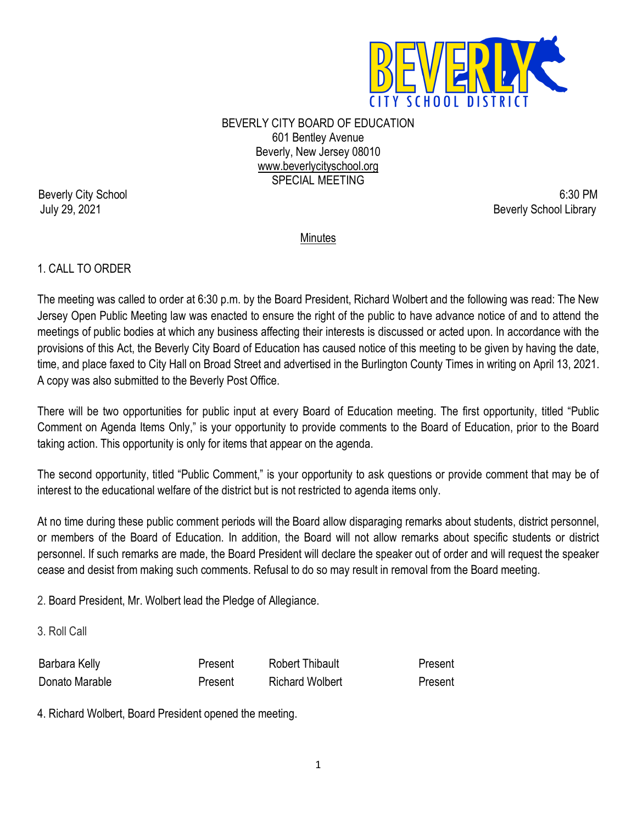

BEVERLY CITY BOARD OF EDUCATION 601 Bentley Avenue Beverly, New Jersey 08010 [www.beverlycityschool.org](http://www.beverlycityschool.org/) SPECIAL MEETING

Beverly City School 6:30 PM July 29, 2021 Beverly School Library

## Minutes

## 1. CALL TO ORDER

The meeting was called to order at 6:30 p.m. by the Board President, Richard Wolbert and the following was read: The New Jersey Open Public Meeting law was enacted to ensure the right of the public to have advance notice of and to attend the meetings of public bodies at which any business affecting their interests is discussed or acted upon. In accordance with the provisions of this Act, the Beverly City Board of Education has caused notice of this meeting to be given by having the date, time, and place faxed to City Hall on Broad Street and advertised in the Burlington County Times in writing on April 13, 2021. A copy was also submitted to the Beverly Post Office.

There will be two opportunities for public input at every Board of Education meeting. The first opportunity, titled "Public Comment on Agenda Items Only," is your opportunity to provide comments to the Board of Education, prior to the Board taking action. This opportunity is only for items that appear on the agenda.

The second opportunity, titled "Public Comment," is your opportunity to ask questions or provide comment that may be of interest to the educational welfare of the district but is not restricted to agenda items only.

At no time during these public comment periods will the Board allow disparaging remarks about students, district personnel, or members of the Board of Education. In addition, the Board will not allow remarks about specific students or district personnel. If such remarks are made, the Board President will declare the speaker out of order and will request the speaker cease and desist from making such comments. Refusal to do so may result in removal from the Board meeting.

2. Board President, Mr. Wolbert lead the Pledge of Allegiance.

3. Roll Call

| ∵ ∧ Aliv<br>.bai<br>- - - - - - - - - - - - - - - - |         |  |
|-----------------------------------------------------|---------|--|
| Donato Marable                                      | Wolbert |  |

4. Richard Wolbert, Board President opened the meeting.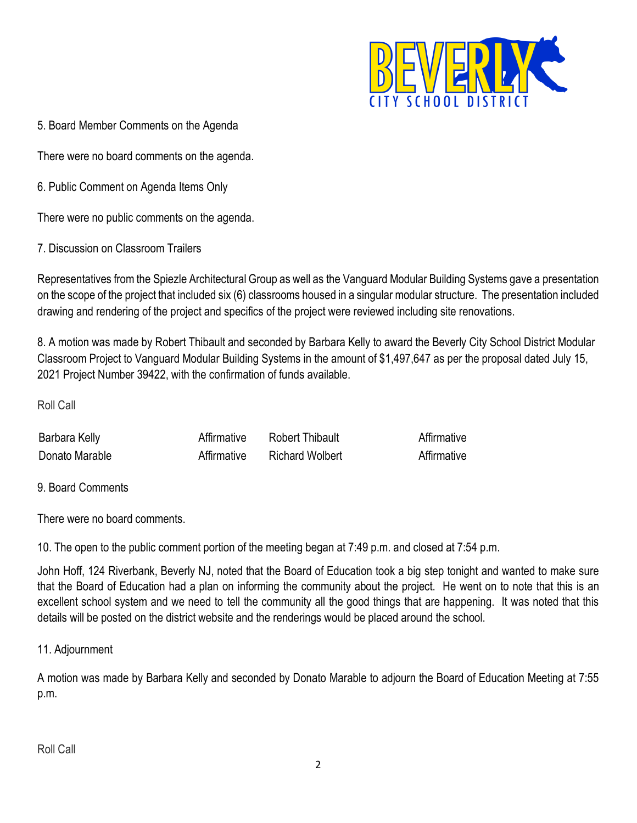

5. Board Member Comments on the Agenda

There were no board comments on the agenda.

6. Public Comment on Agenda Items Only

There were no public comments on the agenda.

7. Discussion on Classroom Trailers

Representatives from the Spiezle Architectural Group as well as the Vanguard Modular Building Systems gave a presentation on the scope of the project that included six (6) classrooms housed in a singular modular structure. The presentation included drawing and rendering of the project and specifics of the project were reviewed including site renovations.

8. A motion was made by Robert Thibault and seconded by Barbara Kelly to award the Beverly City School District Modular Classroom Project to Vanguard Modular Building Systems in the amount of \$1,497,647 as per the proposal dated July 15, 2021 Project Number 39422, with the confirmation of funds available.

Roll Call

| Barbara Kelly  | ≌atıve   | R∩hert<br>nipault |  |
|----------------|----------|-------------------|--|
| Donato Marable | ırmatıve | Richard Wolbert   |  |

## 9. Board Comments

There were no board comments.

10. The open to the public comment portion of the meeting began at 7:49 p.m. and closed at 7:54 p.m.

John Hoff, 124 Riverbank, Beverly NJ, noted that the Board of Education took a big step tonight and wanted to make sure that the Board of Education had a plan on informing the community about the project. He went on to note that this is an excellent school system and we need to tell the community all the good things that are happening. It was noted that this details will be posted on the district website and the renderings would be placed around the school.

## 11. Adjournment

A motion was made by Barbara Kelly and seconded by Donato Marable to adjourn the Board of Education Meeting at 7:55 p.m.